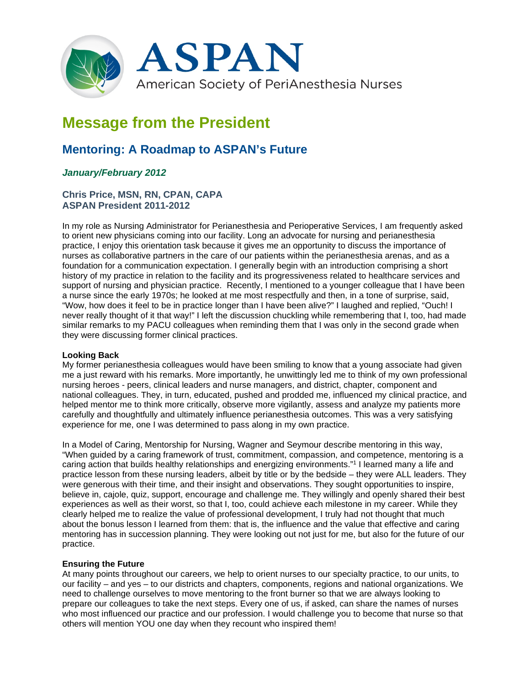

# **Message from the President**

## **Mentoring: A Roadmap to ASPAN's Future**

### *January/February 2012*

#### **Chris Price, MSN, RN, CPAN, CAPA ASPAN President 2011-2012**

In my role as Nursing Administrator for Perianesthesia and Perioperative Services, I am frequently asked to orient new physicians coming into our facility. Long an advocate for nursing and perianesthesia practice, I enjoy this orientation task because it gives me an opportunity to discuss the importance of nurses as collaborative partners in the care of our patients within the perianesthesia arenas, and as a foundation for a communication expectation. I generally begin with an introduction comprising a short history of my practice in relation to the facility and its progressiveness related to healthcare services and support of nursing and physician practice. Recently, I mentioned to a younger colleague that I have been a nurse since the early 1970s; he looked at me most respectfully and then, in a tone of surprise, said, "Wow, how does it feel to be in practice longer than I have been alive?" I laughed and replied, "Ouch! I never really thought of it that way!" I left the discussion chuckling while remembering that I, too, had made similar remarks to my PACU colleagues when reminding them that I was only in the second grade when they were discussing former clinical practices.

#### **Looking Back**

My former perianesthesia colleagues would have been smiling to know that a young associate had given me a just reward with his remarks. More importantly, he unwittingly led me to think of my own professional nursing heroes - peers, clinical leaders and nurse managers, and district, chapter, component and national colleagues. They, in turn, educated, pushed and prodded me, influenced my clinical practice, and helped mentor me to think more critically, observe more vigilantly, assess and analyze my patients more carefully and thoughtfully and ultimately influence perianesthesia outcomes. This was a very satisfying experience for me, one I was determined to pass along in my own practice.

In a Model of Caring, Mentorship for Nursing, Wagner and Seymour describe mentoring in this way, "When guided by a caring framework of trust, commitment, compassion, and competence, mentoring is a caring action that builds healthy relationships and energizing environments."1 I learned many a life and practice lesson from these nursing leaders, albeit by title or by the bedside – they were ALL leaders. They were generous with their time, and their insight and observations. They sought opportunities to inspire, believe in, cajole, quiz, support, encourage and challenge me. They willingly and openly shared their best experiences as well as their worst, so that I, too, could achieve each milestone in my career. While they clearly helped me to realize the value of professional development, I truly had not thought that much about the bonus lesson I learned from them: that is, the influence and the value that effective and caring mentoring has in succession planning. They were looking out not just for me, but also for the future of our practice.

#### **Ensuring the Future**

At many points throughout our careers, we help to orient nurses to our specialty practice, to our units, to our facility – and yes – to our districts and chapters, components, regions and national organizations. We need to challenge ourselves to move mentoring to the front burner so that we are always looking to prepare our colleagues to take the next steps. Every one of us, if asked, can share the names of nurses who most influenced our practice and our profession. I would challenge you to become that nurse so that others will mention YOU one day when they recount who inspired them!